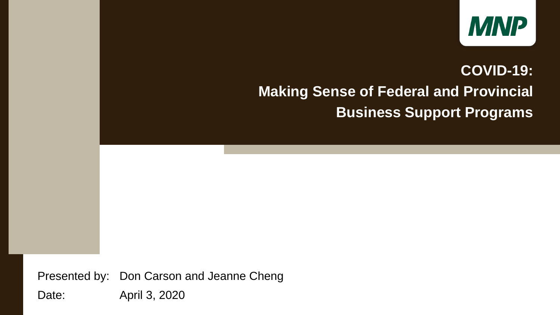Presented by: Don Carson and Jeanne Cheng Date: April 3, 2020



### **COVID-19: Making Sense of Federal and Provincial Business Support Programs**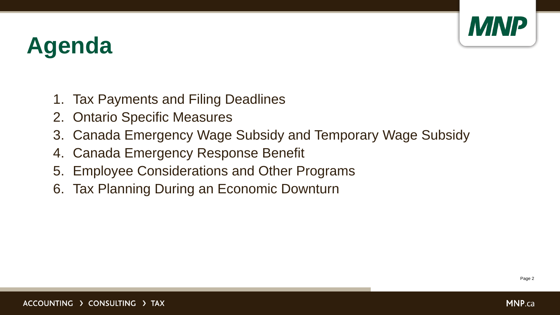

# **Agenda**

- 1. Tax Payments and Filing Deadlines
- 2. Ontario Specific Measures
- 3. Canada Emergency Wage Subsidy and Temporary Wage Subsidy
- 4. Canada Emergency Response Benefit
- 5. Employee Considerations and Other Programs
- 6. Tax Planning During an Economic Downturn

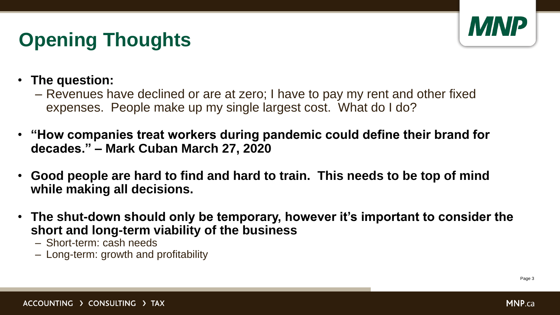

## **Opening Thoughts**

- **The question:** 
	- Revenues have declined or are at zero; I have to pay my rent and other fixed expenses. People make up my single largest cost. What do I do?
- **"How companies treat workers during pandemic could define their brand for decades." – Mark Cuban March 27, 2020**
- **Good people are hard to find and hard to train. This needs to be top of mind while making all decisions.**
- **The shut-down should only be temporary, however it's important to consider the short and long-term viability of the business**
	- Short-term: cash needs
	- Long-term: growth and profitability

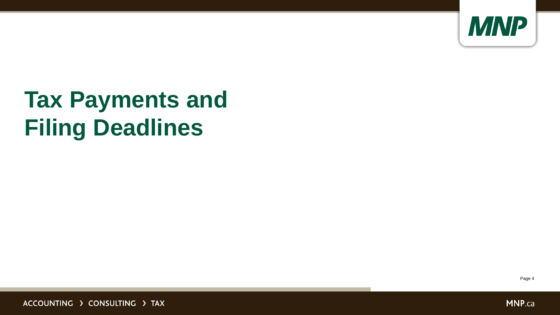

# **Tax Payments and Filing Deadlines**

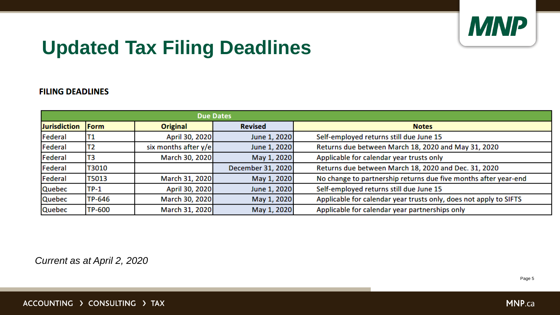**MNP.ca** 

## **Updated Tax Filing Deadlines**

### **FILING DEADLINES**

|                     |                |                      | <b>Due Dates</b>  |                                                                   |
|---------------------|----------------|----------------------|-------------------|-------------------------------------------------------------------|
| <b>Jurisdiction</b> | Form           | Original             | <b>Revised</b>    | <b>Notes</b>                                                      |
| Federal             | <b>T1</b>      | April 30, 2020       | June 1, 2020      | Self-employed returns still due June 15                           |
| Federal             | T <sub>2</sub> | six months after y/e | June 1, 2020      | Returns due between March 18, 2020 and May 31, 2020               |
| Federal             | T3             | March 30, 2020       | May 1, 2020       | Applicable for calendar year trusts only                          |
| Federal             | T3010          |                      | December 31, 2020 | Returns due between March 18, 2020 and Dec. 31, 2020              |
| Federal             | T5013          | March 31, 2020       | May 1, 2020       | No change to partnership returns due five months after year-end   |
| <b>Quebec</b>       | $TP-1$         | April 30, 2020       | June 1, 2020      | Self-employed returns still due June 15                           |
| Quebec              | TP-646         | March 30, 2020       | May 1, 2020       | Applicable for calendar year trusts only, does not apply to SIFTS |
| <b>Quebec</b>       | <b>TP-600</b>  | March 31, 2020       | May 1, 2020       | Applicable for calendar year partnerships only                    |

*Current as at April 2, 2020*

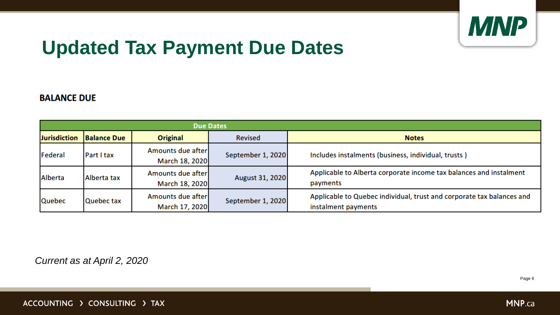

## **Updated Tax Payment Due Dates**

### **BALANCE DUE**

| <b>Due Dates</b>    |                    |                                     |                   |                                                                   |  |  |  |
|---------------------|--------------------|-------------------------------------|-------------------|-------------------------------------------------------------------|--|--|--|
| <b>Jurisdiction</b> | <b>Balance Due</b> | <b>Original</b>                     | <b>Revised</b>    | <b>Notes</b>                                                      |  |  |  |
| Federal             | Part I tax         | Amounts due after<br>March 18, 2020 | September 1, 2020 | Includes instalments (business, individua                         |  |  |  |
| Alberta             | Alberta tax        | Amounts due after<br>March 18, 2020 | August 31, 2020   | Applicable to Alberta corporate income<br>payments                |  |  |  |
| Quebec              | Quebec tax         | Amounts due after<br>March 17, 2020 | September 1, 2020 | Applicable to Quebec individual, trust are<br>instalment payments |  |  |  |

*Current as at April 2, 2020*

ACCOUNTING > CONSULTING > TAX



al, trusts)

tax balances and instalment

nd corporate tax balances and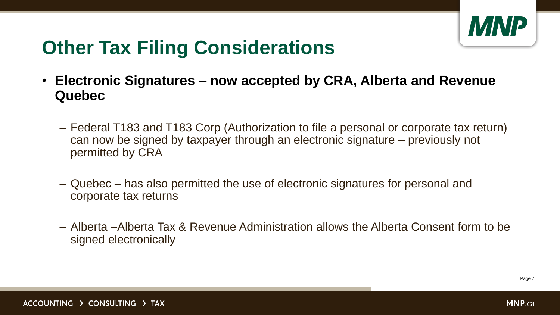

## **Other Tax Filing Considerations**

- **Electronic Signatures – now accepted by CRA, Alberta and Revenue Quebec**
	- Federal T183 and T183 Corp (Authorization to file a personal or corporate tax return) can now be signed by taxpayer through an electronic signature – previously not permitted by CRA
	- Quebec has also permitted the use of electronic signatures for personal and corporate tax returns
	- Alberta –Alberta Tax & Revenue Administration allows the Alberta Consent form to be signed electronically

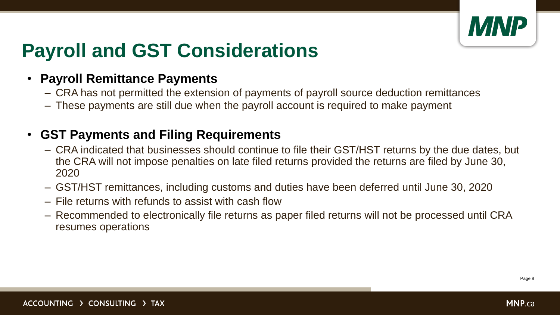

## **Payroll and GST Considerations**

### • **Payroll Remittance Payments**

- CRA has not permitted the extension of payments of payroll source deduction remittances
- These payments are still due when the payroll account is required to make payment

### • **GST Payments and Filing Requirements**

- CRA indicated that businesses should continue to file their GST/HST returns by the due dates, but the CRA will not impose penalties on late filed returns provided the returns are filed by June 30, 2020
- GST/HST remittances, including customs and duties have been deferred until June 30, 2020
- File returns with refunds to assist with cash flow
- Recommended to electronically file returns as paper filed returns will not be processed until CRA resumes operations

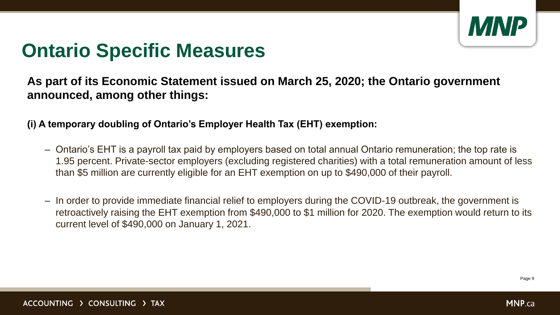**MNP.ca** 

## **Ontario Specific Measures**

**As part of its Economic Statement issued on March 25, 2020; the Ontario government announced, among other things:**

**(i) A temporary doubling of Ontario's Employer Health Tax (EHT) exemption:**

- Ontario's EHT is a payroll tax paid by employers based on total annual Ontario remuneration; the top rate is 1.95 percent. Private-sector employers (excluding registered charities) with a total remuneration amount of less than \$5 million are currently eligible for an EHT exemption on up to \$490,000 of their payroll.
- In order to provide immediate financial relief to employers during the COVID-19 outbreak, the government is retroactively raising the EHT exemption from \$490,000 to \$1 million for 2020. The exemption would return to its current level of \$490,000 on January 1, 2021.

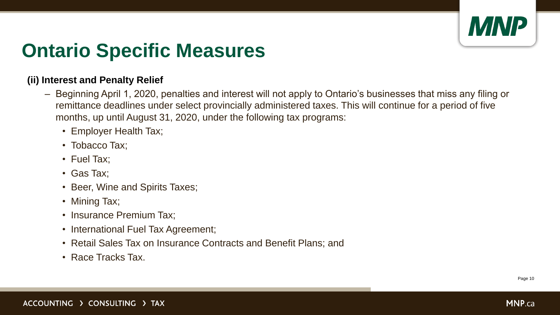

## **Ontario Specific Measures**

### **(ii) Interest and Penalty Relief**

- Beginning April 1, 2020, penalties and interest will not apply to Ontario's businesses that miss any filing or remittance deadlines under select provincially administered taxes. This will continue for a period of five months, up until August 31, 2020, under the following tax programs:
	- Employer Health Tax;
	- Tobacco Tax;
	- Fuel Tax;
	- Gas Tax;
	- Beer, Wine and Spirits Taxes;
	- Mining Tax;
	- Insurance Premium Tax;
	- International Fuel Tax Agreement;
	- Retail Sales Tax on Insurance Contracts and Benefit Plans; and
	- Race Tracks Tax.

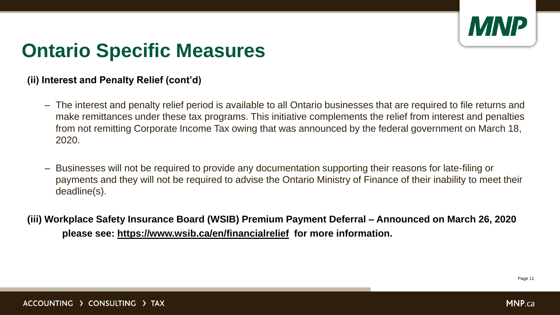

## **Ontario Specific Measures**

### **(ii) Interest and Penalty Relief (cont'd)**

- The interest and penalty relief period is available to all Ontario businesses that are required to file returns and make remittances under these tax programs. This initiative complements the relief from interest and penalties from not remitting Corporate Income Tax owing that was announced by the federal government on March 18, 2020.
- Businesses will not be required to provide any documentation supporting their reasons for late-filing or payments and they will not be required to advise the Ontario Ministry of Finance of their inability to meet their deadline(s).
- **(iii) Workplace Safety Insurance Board (WSIB) Premium Payment Deferral – Announced on March 26, 2020 please see:<https://www.wsib.ca/en/financialrelief> for more information.**

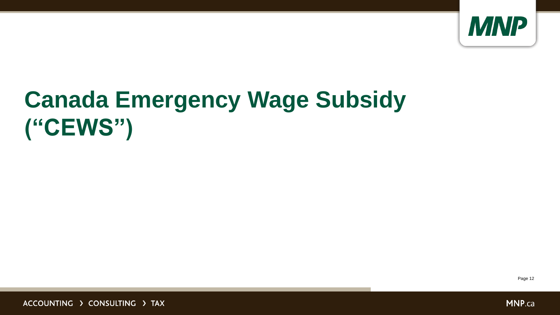

# **Canada Emergency Wage Subsidy ("CEWS")**

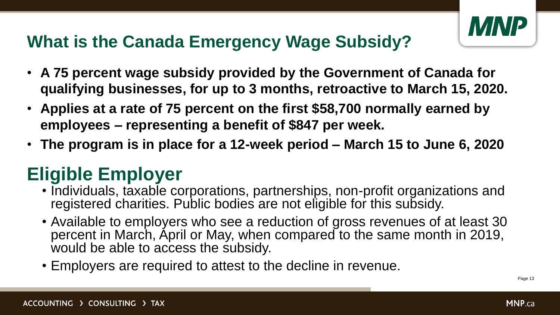

- **A 75 percent wage subsidy provided by the Government of Canada for qualifying businesses, for up to 3 months, retroactive to March 15, 2020.**
- **Applies at a rate of 75 percent on the first \$58,700 normally earned by employees – representing a benefit of \$847 per week.**
- **The program is in place for a 12-week period – March 15 to June 6, 2020**

### **What is the Canada Emergency Wage Subsidy?**

### **Eligible Employer**

- Individuals, taxable corporations, partnerships, non-profit organizations and registered charities. Public bodies are not eligible for this subsidy.
- Available to employers who see a reduction of gross revenues of at least 30 percent in March, April or May, when compared to the same month in 2019, would be able to access the subsidy.
- Employers are required to attest to the decline in revenue.

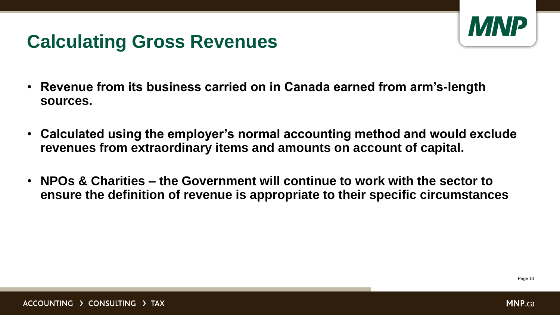

- **Revenue from its business carried on in Canada earned from arm's-length sources.**
- **Calculated using the employer's normal accounting method and would exclude revenues from extraordinary items and amounts on account of capital.**
- **NPOs & Charities – the Government will continue to work with the sector to ensure the definition of revenue is appropriate to their specific circumstances**



### **Calculating Gross Revenues**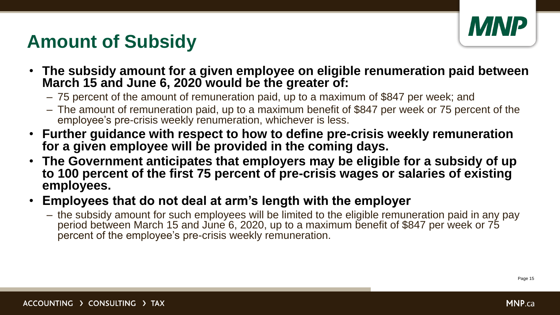

- **The subsidy amount for a given employee on eligible renumeration paid between March 15 and June 6, 2020 would be the greater of:**
	- 75 percent of the amount of remuneration paid, up to a maximum of \$847 per week; and
	- The amount of remuneration paid, up to a maximum benefit of \$847 per week or 75 percent of the employee's pre-crisis weekly renumeration, whichever is less.
- **Further guidance with respect to how to define pre-crisis weekly remuneration for a given employee will be provided in the coming days.**
- **The Government anticipates that employers may be eligible for a subsidy of up to 100 percent of the first 75 percent of pre-crisis wages or salaries of existing employees.**

### • **Employees that do not deal at arm's length with the employer**

– the subsidy amount for such employees will be limited to the eligible remuneration paid in any pay period between March 15 and June 6, 2020, up to a maximum benefit of \$847 per week or 75 percent of the employee's pre-crisis weekly remuneration.



## **Amount of Subsidy**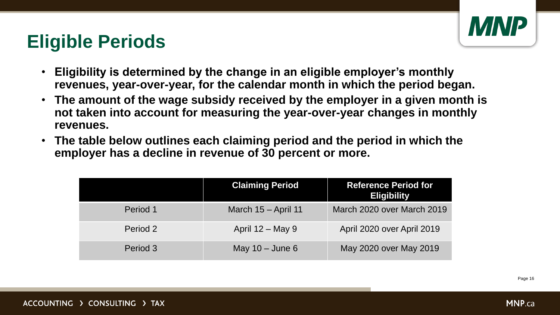

- **Eligibility is determined by the change in an eligible employer's monthly revenues, year-over-year, for the calendar month in which the period began.**
- **The amount of the wage subsidy received by the employer in a given month is not taken into account for measuring the year-over-year changes in monthly revenues.**
- **The table below outlines each claiming period and the period in which the employer has a decline in revenue of 30 percent or more.**

### **Eligible Periods**

|          | <b>Claiming Period</b> | <b>Reference Period for</b><br><b>Eligibility</b> |
|----------|------------------------|---------------------------------------------------|
| Period 1 | March 15 - April 11    | March 2020 over March 2019                        |
| Period 2 | April 12 – May 9       | April 2020 over April 2019                        |
| Period 3 | May $10 -$ June 6      | May 2020 over May 2019                            |

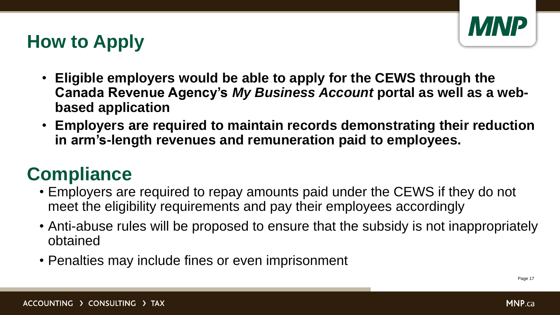**MNP.ca** 

- **Eligible employers would be able to apply for the CEWS through the**  Canada Revenue Agency's *My Business Account* portal as well as a web**based application**
- **Employers are required to maintain records demonstrating their reduction in arm's-length revenues and remuneration paid to employees.**

## **How to Apply**

### **Compliance**

- Employers are required to repay amounts paid under the CEWS if they do not meet the eligibility requirements and pay their employees accordingly
- Anti-abuse rules will be proposed to ensure that the subsidy is not inappropriately obtained
- Penalties may include fines or even imprisonment

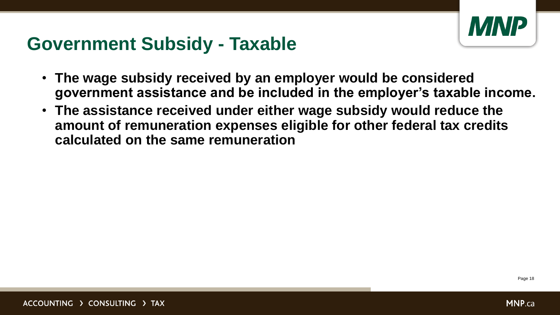

- **The wage subsidy received by an employer would be considered government assistance and be included in the employer's taxable income.**
- **The assistance received under either wage subsidy would reduce the amount of remuneration expenses eligible for other federal tax credits calculated on the same remuneration**



### **Government Subsidy - Taxable**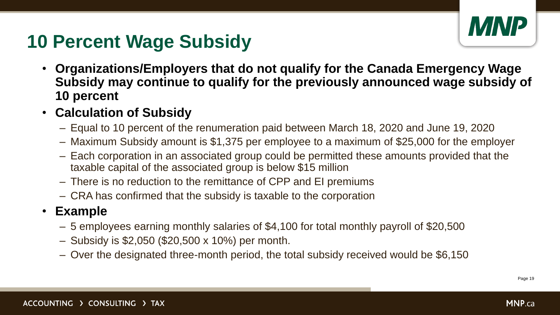

- **Organizations/Employers that do not qualify for the Canada Emergency Wage Subsidy may continue to qualify for the previously announced wage subsidy of 10 percent**
- **Calculation of Subsidy**
	- Equal to 10 percent of the renumeration paid between March 18, 2020 and June 19, 2020
	- Maximum Subsidy amount is \$1,375 per employee to a maximum of \$25,000 for the employer
	- Each corporation in an associated group could be permitted these amounts provided that the taxable capital of the associated group is below \$15 million
	- There is no reduction to the remittance of CPP and EI premiums
	- CRA has confirmed that the subsidy is taxable to the corporation

### • **Example**

- 5 employees earning monthly salaries of \$4,100 for total monthly payroll of \$20,500
- Subsidy is \$2,050 (\$20,500 x 10%) per month.
- Over the designated three-month period, the total subsidy received would be \$6,150



### **10 Percent Wage Subsidy**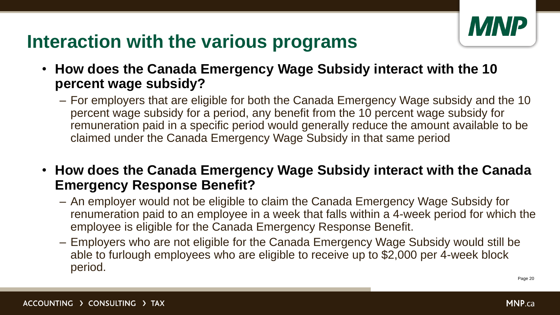**MNP.ca** 

- **How does the Canada Emergency Wage Subsidy interact with the 10 percent wage subsidy?**
	- For employers that are eligible for both the Canada Emergency Wage subsidy and the 10 percent wage subsidy for a period, any benefit from the 10 percent wage subsidy for remuneration paid in a specific period would generally reduce the amount available to be claimed under the Canada Emergency Wage Subsidy in that same period
- **How does the Canada Emergency Wage Subsidy interact with the Canada Emergency Response Benefit?** 
	- An employer would not be eligible to claim the Canada Emergency Wage Subsidy for renumeration paid to an employee in a week that falls within a 4-week period for which the employee is eligible for the Canada Emergency Response Benefit.
	- Employers who are not eligible for the Canada Emergency Wage Subsidy would still be able to furlough employees who are eligible to receive up to \$2,000 per 4-week block period.



### **Interaction with the various programs**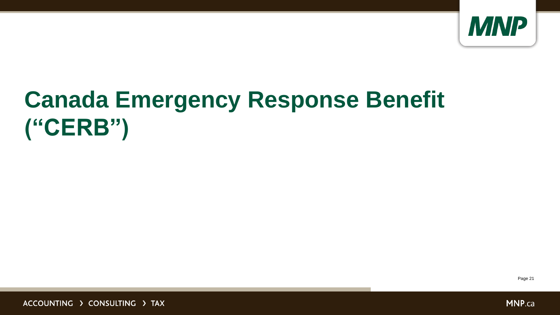

# **Canada Emergency Response Benefit ("CERB")**



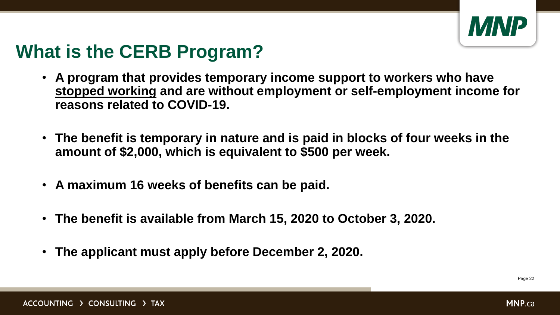

## **What is the CERB Program?**

- **A program that provides temporary income support to workers who have stopped working and are without employment or self-employment income for reasons related to COVID-19.**
- **The benefit is temporary in nature and is paid in blocks of four weeks in the amount of \$2,000, which is equivalent to \$500 per week.**
- **A maximum 16 weeks of benefits can be paid.**
- **The benefit is available from March 15, 2020 to October 3, 2020.**
- **The applicant must apply before December 2, 2020.**

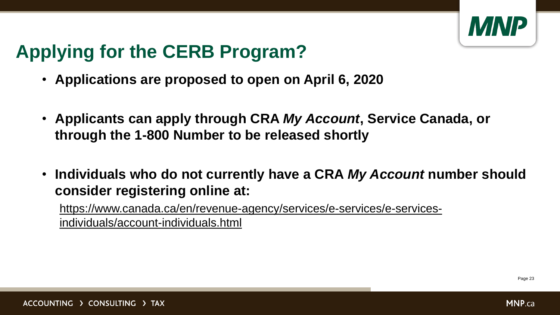

## **Applying for the CERB Program?**

- **Applications are proposed to open on April 6, 2020**
- **Applicants can apply through CRA** *My Account***, Service Canada, or through the 1-800 Number to be released shortly**
- **Individuals who do not currently have a CRA** *My Account* **number should consider registering online at:**

[https://www.canada.ca/en/revenue-agency/services/e-services/e-services](https://www.canada.ca/en/revenue-agency/services/e-services/e-services-individuals/account-individuals.html)individuals/account-individuals.html

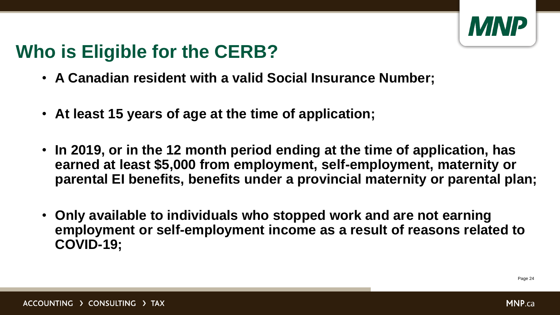**MNP** 

## **Who is Eligible for the CERB?**

- **A Canadian resident with a valid Social Insurance Number;**
- **At least 15 years of age at the time of application;**
- **In 2019, or in the 12 month period ending at the time of application, has earned at least \$5,000 from employment, self-employment, maternity or parental EI benefits, benefits under a provincial maternity or parental plan;**
- **Only available to individuals who stopped work and are not earning employment or self-employment income as a result of reasons related to COVID-19;**

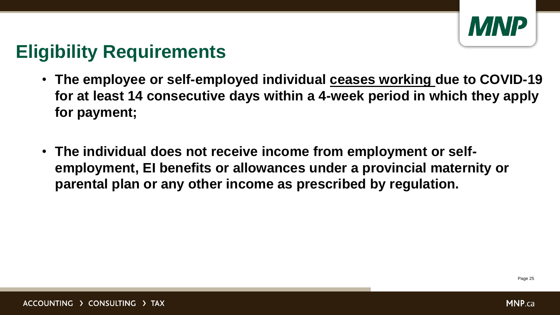

### **Eligibility Requirements**

- **The employee or self-employed individual ceases working due to COVID-19 for at least 14 consecutive days within a 4-week period in which they apply for payment;**
- **The individual does not receive income from employment or selfemployment, EI benefits or allowances under a provincial maternity or parental plan or any other income as prescribed by regulation.**

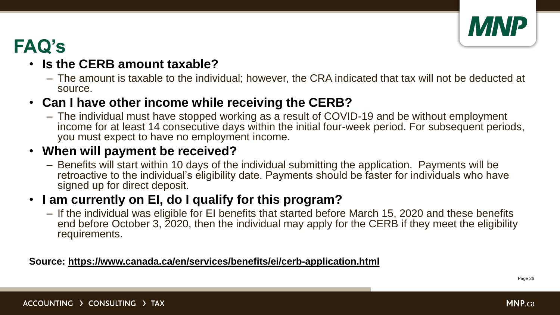

### **FAQ's**

### • **Is the CERB amount taxable?**

– The amount is taxable to the individual; however, the CRA indicated that tax will not be deducted at source.

### • **Can I have other income while receiving the CERB?**

– The individual must have stopped working as a result of COVID-19 and be without employment income for at least 14 consecutive days within the initial four-week period. For subsequent periods, you must expect to have no employment income.

### • **When will payment be received?**

– Benefits will start within 10 days of the individual submitting the application. Payments will be retroactive to the individual's eligibility date. Payments should be faster for individuals who have signed up for direct deposit.

### • **I am currently on EI, do I qualify for this program?**

– If the individual was eligible for EI benefits that started before March 15, 2020 and these benefits end before October 3, 2020, then the individual may apply for the CERB if they meet the eligibility requirements.

### **Source:<https://www.canada.ca/en/services/benefits/ei/cerb-application.html>**

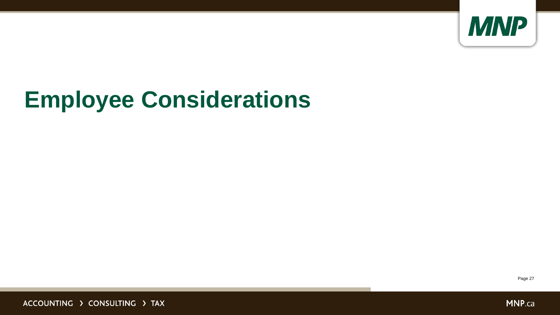

# **Employee Considerations**

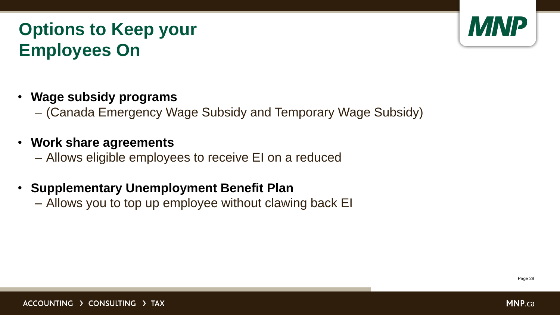

### **Options to Keep your Employees On**

• **Wage subsidy programs** 

– (Canada Emergency Wage Subsidy and Temporary Wage Subsidy)

• **Work share agreements**

– Allows eligible employees to receive EI on a reduced

• **Supplementary Unemployment Benefit Plan**

– Allows you to top up employee without clawing back EI

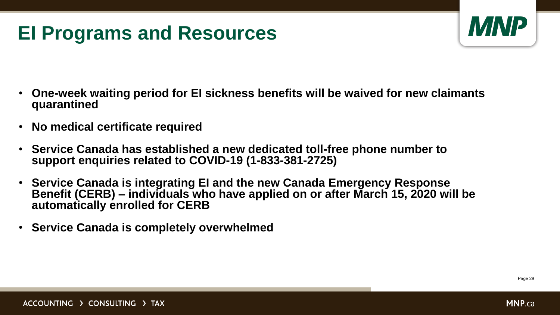

## **EI Programs and Resources**

- **One-week waiting period for EI sickness benefits will be waived for new claimants quarantined**
- **No medical certificate required**
- **Service Canada has established a new dedicated toll-free phone number to support enquiries related to COVID-19 (1-833-381-2725)**
- **Service Canada is integrating EI and the new Canada Emergency Response Benefit (CERB) – individuals who have applied on or after March 15, 2020 will be automatically enrolled for CERB**
- **Service Canada is completely overwhelmed**

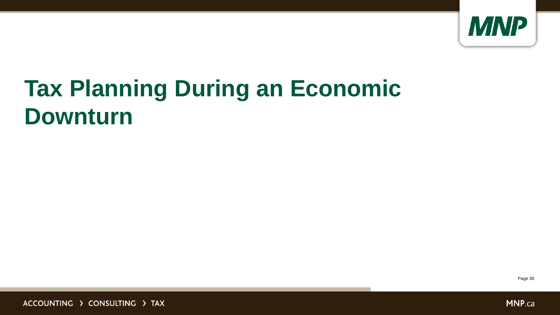

# **Tax Planning During an Economic Downturn**

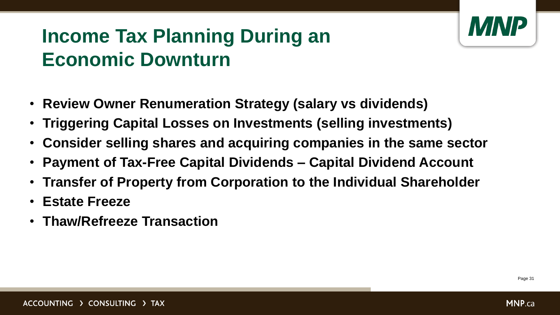

## **Income Tax Planning During an Economic Downturn**

- **Review Owner Renumeration Strategy (salary vs dividends)**
- **Triggering Capital Losses on Investments (selling investments)**
- **Consider selling shares and acquiring companies in the same sector**
- **Payment of Tax-Free Capital Dividends – Capital Dividend Account**
- **Transfer of Property from Corporation to the Individual Shareholder**
- **Estate Freeze**
- **Thaw/Refreeze Transaction**

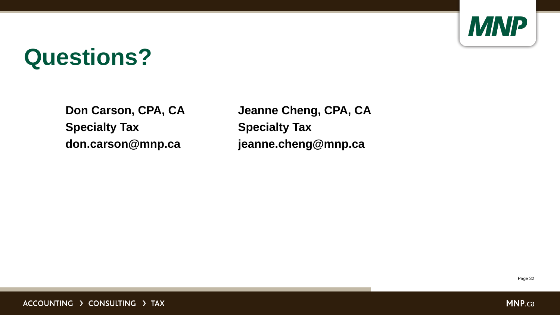

# **Questions?**

**Don Carson, CPA, CA Specialty Tax don.carson@mnp.ca**

**Jeanne Cheng, CPA, CA Specialty Tax jeanne.cheng@mnp.ca**

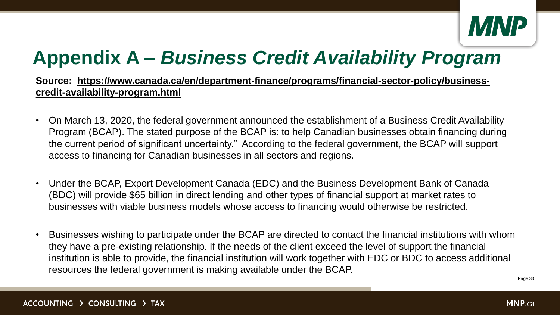**MNP.ca** 

## **Appendix A –** *Business Credit Availability Program*

### [Source: https://www.canada.ca/en/department-finance/programs/financial-sector-policy/business](https://www.canada.ca/en/department-finance/programs/financial-sector-policy/business-credit-availability-program.html)**credit-availability-program.html**

- On March 13, 2020, the federal government announced the establishment of a Business Credit Availability Program (BCAP). The stated purpose of the BCAP is: to help Canadian businesses obtain financing during the current period of significant uncertainty." According to the federal government, the BCAP will support access to financing for Canadian businesses in all sectors and regions.
- Under the BCAP, Export Development Canada (EDC) and the Business Development Bank of Canada (BDC) will provide \$65 billion in direct lending and other types of financial support at market rates to businesses with viable business models whose access to financing would otherwise be restricted.
- Businesses wishing to participate under the BCAP are directed to contact the financial institutions with whom they have a pre-existing relationship. If the needs of the client exceed the level of support the financial institution is able to provide, the financial institution will work together with EDC or BDC to access additional resources the federal government is making available under the BCAP.

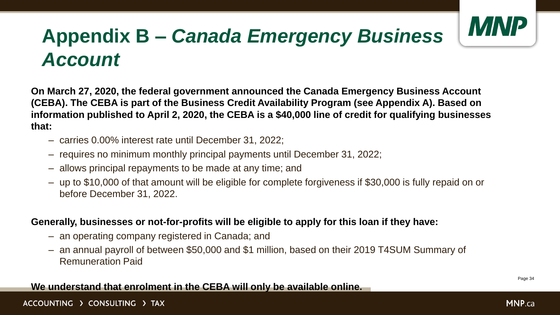

## **Appendix B –** *Canada Emergency Business Account*

**On March 27, 2020, the federal government announced the Canada Emergency Business Account (CEBA). The CEBA is part of the Business Credit Availability Program (see Appendix A). Based on information published to April 2, 2020, the CEBA is a \$40,000 line of credit for qualifying businesses that:** 

- carries 0.00% interest rate until December 31, 2022;
- requires no minimum monthly principal payments until December 31, 2022;
- allows principal repayments to be made at any time; and
- up to \$10,000 of that amount will be eligible for complete forgiveness if \$30,000 is fully repaid on or before December 31, 2022.

### **Generally, businesses or not-for-profits will be eligible to apply for this loan if they have:**

- an operating company registered in Canada; and
- an annual payroll of between \$50,000 and \$1 million, based on their 2019 T4SUM Summary of Remuneration Paid

### **We understand that enrolment in the CEBA will only be available online.**